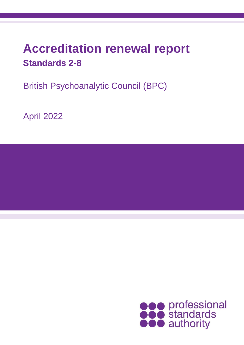# **Accreditation renewal report Standards 2-8**

British Psychoanalytic Council (BPC)

April 2022

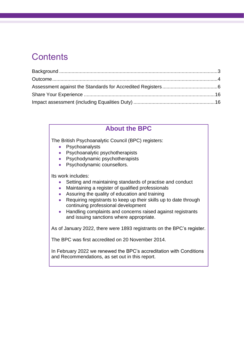### **Contents**

### **About the BPC**

The British Psychoanalytic Council (BPC) registers:

- Psychoanalysts
- Psychoanalytic psychotherapists
- Psychodynamic psychotherapists
- Psychodynamic counsellors.

Its work includes:

- Setting and maintaining standards of practise and conduct
- Maintaining a register of qualified professionals
- Assuring the quality of education and training
- Requiring registrants to keep up their skills up to date through continuing professional development
- Handling complaints and concerns raised against registrants and issuing sanctions where appropriate.

As of January 2022, there were 1893 registrants on the BPC's register.

The BPC was first accredited on 20 November 2014.

In February 2022 we renewed the BPC's accreditation with Conditions and Recommendations, as set out in this report.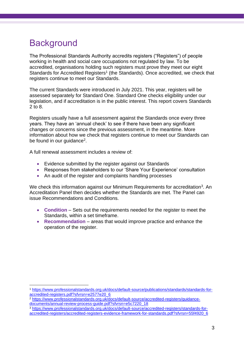### <span id="page-2-0"></span>**Background**

The Professional Standards Authority accredits registers ("Registers") of people working in health and social care occupations not regulated by law. To be accredited, organisations holding such registers must prove they meet our eight Standards for Accredited Registers<sup>1</sup> (the Standards). Once accredited, we check that registers continue to meet our Standards.

The current Standards were introduced in July 2021. This year, registers will be assessed separately for Standard One. Standard One checks eligibility under our legislation, and if accreditation is in the public interest. This report covers Standards 2 to 8.

Registers usually have a full assessment against the Standards once every three years. They have an 'annual check' to see if there have been any significant changes or concerns since the previous assessment, in the meantime. More information about how we check that registers continue to meet our Standards can be found in our guidance<sup>2</sup>.

A full renewal assessment includes a review of:

- Evidence submitted by the register against our Standards
- Responses from stakeholders to our 'Share Your Experience' consultation
- An audit of the register and complaints handling processes

We check this information against our Minimum Requirements for accreditation<sup>3</sup>. An Accreditation Panel then decides whether the Standards are met. The Panel can issue Recommendations and Conditions.

- **Condition** Sets out the requirements needed for the register to meet the Standards, within a set timeframe.
- **Recommendation** areas that would improve practice and enhance the operation of the register.

<sup>1</sup> [https://www.professionalstandards.org.uk/docs/default-source/publications/standards/standards-for](https://www.professionalstandards.org.uk/docs/default-source/publications/standards/standards-for-accredited-registers.pdf?sfvrsn=e2577e20_6)[accredited-registers.pdf?sfvrsn=e2577e20\\_6](https://www.professionalstandards.org.uk/docs/default-source/publications/standards/standards-for-accredited-registers.pdf?sfvrsn=e2577e20_6)

<sup>2</sup> [https://www.professionalstandards.org.uk/docs/default-source/accredited-registers/guidance](https://www.professionalstandards.org.uk/docs/default-source/accredited-registers/guidance-documents/annual-review-process-guide.pdf?sfvrsn=e5c7220_18)[documents/annual-review-process-guide.pdf?sfvrsn=e5c7220\\_18](https://www.professionalstandards.org.uk/docs/default-source/accredited-registers/guidance-documents/annual-review-process-guide.pdf?sfvrsn=e5c7220_18)

<sup>3</sup> [https://www.professionalstandards.org.uk/docs/default-source/accredited-registers/standards-for](https://www.professionalstandards.org.uk/docs/default-source/accredited-registers/standards-for-accredited-registers/accredited-registers-evidence-framework-for-standards.pdf?sfvrsn=55f4920_6)[accredited-registers/accredited-registers-evidence-framework-for-standards.pdf?sfvrsn=55f4920\\_6](https://www.professionalstandards.org.uk/docs/default-source/accredited-registers/standards-for-accredited-registers/accredited-registers-evidence-framework-for-standards.pdf?sfvrsn=55f4920_6)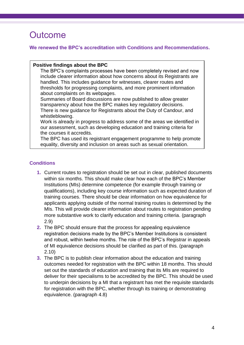### <span id="page-3-0"></span>**Outcome**

**We renewed the BPC's accreditation with Conditions and Recommendations.** 

#### **Positive findings about the BPC**

The BPC's complaints processes have been completely revised and now include clearer information about how concerns about its Registrants are handled. This includes guidance for witnesses, clearer routes and thresholds for progressing complaints, and more prominent information about complaints on its webpages.

Summaries of Board discussions are now published to allow greater transparency about how the BPC makes key regulatory decisions. There is new guidance for Registrants about the Duty of Candour, and whistleblowing.

Work is already in progress to address some of the areas we identified in our assessment, such as developing education and training criteria for the courses it accredits.

The BPC has used its registrant engagement programme to help promote equality, diversity and inclusion on areas such as sexual orientation.

#### **Conditions**

- **1.** Current routes to registration should be set out in clear, published documents within six months. This should make clear how each of the BPC's Member Institutions (MIs) determine competence (for example through training or qualifications), including key course information such as expected duration of training courses. There should be clear information on how equivalence for applicants applying outside of the normal training routes is determined by the MIs. This will provide clearer information about routes to registration pending more substantive work to clarify education and training criteria. (paragraph 2.9)
- **2.** The BPC should ensure that the process for appealing equivalence registration decisions made by the BPC's Member Institutions is consistent and robust, within twelve months. The role of the BPC's Registrar in appeals of MI equivalence decisions should be clarified as part of this. (paragraph 2.10)
- **3.** The BPC is to publish clear information about the education and training outcomes needed for registration with the BPC within 18 months. This should set out the standards of education and training that its MIs are required to deliver for their specialisms to be accredited by the BPC. This should be used to underpin decisions by a MI that a registrant has met the requisite standards for registration with the BPC, whether through its training or demonstrating equivalence. (paragraph 4.8)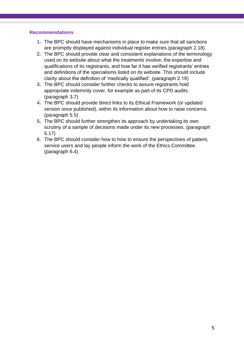#### **Recommendations**

- **1.** The BPC should have mechanisms in place to make sure that all sanctions are promptly displayed against individual register entries.(paragraph 2.18)
- **2.** The BPC should provide clear and consistent explanations of the terminology used on its website about what the treatments involve, the expertise and qualifications of its registrants, and how far it has verified registrants' entries and definitions of the specialisms listed on its website. This should include clarity about the definition of 'medically qualified'. (paragraph 2.19)
- **3.** The BPC should consider further checks to assure registrants hold appropriate indemnity cover, for example as part of its CPD audits. (paragraph 3.7)
- **4.** The BPC should provide direct links to its Ethical Framework (or updated version once published), within its information about how to raise concerns. (paragraph 5.5)
- **5.** The BPC should further strengthen its approach by undertaking its own scrutiny of a sample of decisions made under its new processes. (paragraph 5.17)
- **6.** The BPC should consider how to how to ensure the perspectives of patient, service users and lay people inform the work of the Ethics Committee. (paragraph 6.4)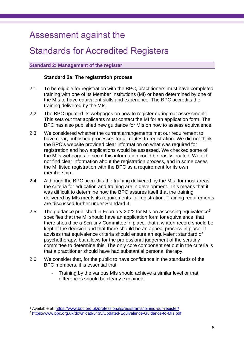### Assessment against the

### Standards for Accredited Registers

#### **Standard 2: Management of the register**

#### **Standard 2a: The registration process**

- 2.1 To be eligible for registration with the BPC, practitioners must have completed training with one of its Member Institutions (MI) or been determined by one of the MIs to have equivalent skills and experience. The BPC accredits the training delivered by the MIs.
- 2.2 The BPC updated its webpages on how to register during our assessment<sup>4</sup>. This sets out that applicants must contact the MI for an application form. The BPC has also published new guidance for MIs on how to assess equivalence.
- 2.3 We considered whether the current arrangements met our requirement to have clear, published processes for all routes to registration. We did not think the BPC's website provided clear information on what was required for registration and how applications would be assessed. We checked some of the MI's webpages to see if this information could be easily located. We did not find clear information about the registration process, and in some cases the MI listed registration with the BPC as a requirement for its own membership.
- 2.4 Although the BPC accredits the training delivered by the MIs, for most areas the criteria for education and training are in development. This means that it was difficult to determine how the BPC assures itself that the training delivered by MIs meets its requirements for registration. Training requirements are discussed further under Standard 4.
- 2.5 The guidance published in February 2022 for MIs on assessing equivalence<sup>5</sup> specifies that the MI should have an application form for equivalence, that there should be a Scrutiny Committee in place, that a written record should be kept of the decision and that there should be an appeal process in place. It advises that equivalence criteria should ensure an equivalent standard of psychotherapy, but allows for the professional judgement of the scrutiny committee to determine this. The only core component set out in the criteria is that a practitioner should have had substantial personal therapy.
- 2.6 We consider that, for the public to have confidence in the standards of the BPC members, it is essential that:
	- Training by the various MIs should achieve a similar level or that differences should be clearly explained;

<sup>4</sup> Available at:<https://www.bpc.org.uk/professionals/registrants/joining-our-register/>

<sup>5</sup> <https://www.bpc.org.uk/download/5435/Updated-Equivalence-Guidance-to-MIs.pdf>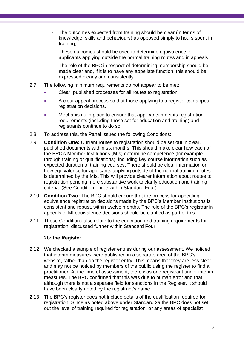- The outcomes expected from training should be clear (in terms of knowledge, skills and behaviours) as opposed simply to hours spent in training;
- These outcomes should be used to determine equivalence for applicants applying outside the normal training routes and in appeals;
- The role of the BPC in respect of determining membership should be made clear and, if it is to have any appellate function, this should be expressed clearly and consistently.
- 2.7 The following minimum requirements do not appear to be met:
	- Clear, published processes for all routes to registration.
	- A clear appeal process so that those applying to a register can appeal registration decisions.
	- Mechanisms in place to ensure that applicants meet its registration requirements (including those set for education and training) and registrants continue to do so.
- 2.8 To address this, the Panel issued the following Conditions:
- 2.9 **Condition One:** Current routes to registration should be set out in clear, published documents within six months. This should make clear how each of the BPC's Member Institutions (MIs) determine competence (for example through training or qualifications), including key course information such as expected duration of training courses. There should be clear information on how equivalence for applicants applying outside of the normal training routes is determined by the MIs. This will provide clearer information about routes to registration pending more substantive work to clarify education and training criteria. (See Condition Three within Standard Four)
- 2.10 **Condition Two:** The BPC should ensure that the process for appealing equivalence registration decisions made by the BPC's Member Institutions is consistent and robust, within twelve months. The role of the BPC's registrar in appeals of MI equivalence decisions should be clarified as part of this.
- 2.11 These Conditions also relate to the education and training requirements for registration, discussed further within Standard Four.

#### **2b: the Register**

- 2.12 We checked a sample of register entries during our assessment. We noticed that interim measures were published in a separate area of the BPC's website, rather than on the register entry. This means that they are less clear and may not be noticed by members of the public using the register to find a practitioner. At the time of assessment, there was one registrant under interim measures. The BPC confirmed that this was due to human error and that although there is not a separate field for sanctions in the Register, it should have been clearly noted by the registrant's name.
- 2.13 The BPC's register does not include details of the qualification required for registration. Since as noted above under Standard 2a the BPC does not set out the level of training required for registration, or any areas of specialist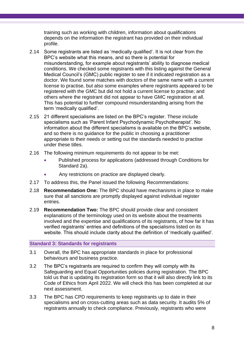training such as working with children, information about qualifications depends on the information the registrant has provided on their individual profile.

- 2.14 Some registrants are listed as 'medically qualified'. It is not clear from the BPC's website what this means, and so there is potential for misunderstanding, for example about registrants' ability to diagnose medical conditions. We checked some registrants with this listing against the General Medical Council's (GMC) public register to see if it indicated registration as a doctor. We found some matches with doctors of the same name with a current license to practise, but also some examples where registrants appeared to be registered with the GMC but did not hold a current license to practise; and others where the registrant did not appear to have GMC registration at all. This has potential to further compound misunderstanding arising from the term 'medically qualified'.
- 2.15 21 different specialisms are listed on the BPC's register. These include specialisms such as 'Parent Infant Psychodynamic Psychotherapist'. No information about the different specialisms is available on the BPC's website, and so there is no guidance for the public in choosing a practitioner appropriate to their needs or setting out the standards needed to practise under these titles.
- 2.16 The following minimum requirements do not appear to be met:
	- Published process for applications (addressed through Conditions for Standard 2a).
	- Any restrictions on practice are displayed clearly.
- 2.17 To address this, the Panel issued the following Recommendations:
- 2.18 **Recommendation One:** The BPC should have mechanisms in place to make sure that all sanctions are promptly displayed against individual register entries.
- 2.19 **Recommendation Two:** The BPC should provide clear and consistent explanations of the terminology used on its website about the treatments involved and the expertise and qualifications of its registrants, of how far it has verified registrants' entries and definitions of the specialisms listed on its website. This should include clarity about the definition of 'medically qualified'.

#### **Standard 3: Standards for registrants**

- 3.1 Overall, the BPC has appropriate standards in place for professional behaviours and business practice.
- 3.2 The BPC's registrants are required to confirm they will comply with its Safeguarding and Equal Opportunities policies during registration. The BPC told us that is updating its registration form so that it will also directly link to its Code of Ethics from April 2022. We will check this has been completed at our next assessment.
- 3.3 The BPC has CPD requirements to keep registrants up to date in their specialisms and on cross-cutting areas such as data security. It audits 5% of registrants annually to check compliance. Previously, registrants who were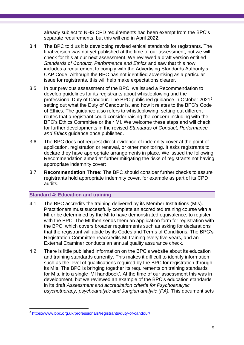already subject to NHS CPD requirements had been exempt from the BPC's separate requirements, but this will end in April 2022.

- 3.4 The BPC told us it is developing revised ethical standards for registrants. The final version was not yet published at the time of our assessment, but we will check for this at our next assessment. We reviewed a draft version entitled *Standards of Conduct, Performance and Ethics* and saw that this now includes a requirement to comply with the Advertising Standards Authority's CAP Code. Although the BPC has not identified advertising as a particular issue for registrants, this will help make expectations clearer.
- 3.5 In our previous assessment of the BPC, we issued a Recommendation to develop guidelines for its registrants about whistleblowing and the professional Duty of Candour. The BPC published guidance in October 2021<sup>6</sup> setting out what the Duty of Candour is, and how it relates to the BPC's Code of Ethics. The guidance also refers to whistleblowing, setting out different routes that a registrant could consider raising the concern including with the BPC's Ethics Committee or their MI. We welcome these steps and will check for further developments in the revised *Standards of Conduct, Performance and Ethics* guidance once published.
- 3.6 The BPC does not request direct evidence of indemnity cover at the point of application, registration or renewal, or other monitoring. It asks registrants to declare they have appropriate arrangements in place. We issued the following Recommendation aimed at further mitigating the risks of registrants not having appropriate indemnity cover:
- 3.7 **Recommendation Three:** The BPC should consider further checks to assure registrants hold appropriate indemnity cover, for example as part of its CPD audits.

#### **Standard 4: Education and training**

- 4.1 The BPC accredits the training delivered by its Member Institutions (MIs). Practitioners must successfully complete an accredited training course with a MI or be determined by the MI to have demonstrated equivalence, to register with the BPC. The MI then sends them an application form for registration with the BPC, which covers broader requirements such as asking for declarations that the registrant will abide by its Codes and Terms of Conditions. The BPC's Registration Committee reaccredits MI training every five years, and an External Examiner conducts an annual quality assurance check.
- 4.2 There is little published information on the BPC's website about its education and training standards currently. This makes it difficult to identify information such as the level of qualifications required by the BPC for registration through its MIs. The BPC is bringing together its requirements on training standards for MIs, into a single 'MI handbook'. At the time of our assessment this was in development, but we reviewed an example of the BPC's education standards in its draft *Assessment and accreditation criteria for Psychoanalytic psychotherapy, psychoanalytic and Jungian analytic (PA).* This document sets

<sup>6</sup> <https://www.bpc.org.uk/professionals/registrants/duty-of-candour/>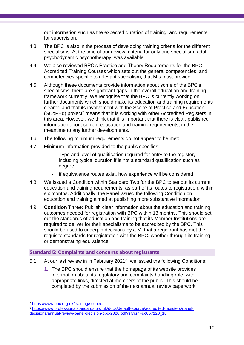out information such as the expected duration of training, and requirements for supervision.

- 4.3 The BPC is also in the process of developing training criteria for the different specialisms. At the time of our review, criteria for only one specialism, adult psychodynamic psychotherapy, was available.
- 4.4 We also reviewed BPC's Practice and Theory Requirements for the BPC Accredited Training Courses which sets out the general competencies, and competencies specific to relevant specialism, that MIs must provide.
- 4.5 Although these documents provide information about some of the BPC's specialisms, there are significant gaps in the overall education and training framework currently. We recognise that the BPC is currently working on further documents which should make its education and training requirements clearer, and that its involvement with the Scope of Practice and Education  $(SCoPEd)$  project<sup>7</sup> means that it is working with other Accredited Registers in this area. However, we think that it is important that there is clear, published information about current education and training requirements, in the meantime to any further developments.
- 4.6 The following minimum requirements do not appear to be met:
- 4.7 Minimum information provided to the public specifies:
	- Type and level of qualification required for entry to the register, including typical duration if is not a standard qualification such as degree
	- If equivalence routes exist, how experience will be considered
- 4.8 We issued a Condition within Standard Two for the BPC to set out its current education and training requirements, as part of its routes to registration, within six months. Additionally, the Panel issued the following Condition on education and training aimed at publishing more substantive information:
- 4.9 **Condition Three:** Publish clear information about the education and training outcomes needed for registration with BPC within 18 months. This should set out the standards of education and training that its Member Institutions are required to deliver for their specialisms to be accredited by the BPC. This should be used to underpin decisions by a MI that a registrant has met the requisite standards for registration with the BPC, whether through its training or demonstrating equivalence.

#### **Standard 5: Complaints and concerns about registrants**

- 5.1 At our last review in in February 2021<sup>8</sup>, we issued the following Conditions:
	- **1.** The BPC should ensure that the homepage of its website provides information about its regulatory and complaints handling role, with appropriate links, directed at members of the public. This should be completed by the submission of the next annual review paperwork.

<sup>7</sup> <https://www.bpc.org.uk/training/scoped/>

<sup>8</sup> [https://www.professionalstandards.org.uk/docs/default-source/accredited-registers/panel](https://www.professionalstandards.org.uk/docs/default-source/accredited-registers/panel-decisions/annual-review-panel-decision-bpc-2020.pdf?sfvrsn=dc657120_18)[decisions/annual-review-panel-decision-bpc-2020.pdf?sfvrsn=dc657120\\_18](https://www.professionalstandards.org.uk/docs/default-source/accredited-registers/panel-decisions/annual-review-panel-decision-bpc-2020.pdf?sfvrsn=dc657120_18)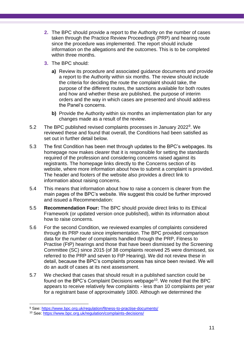- **2.** The BPC should provide a report to the Authority on the number of cases taken through the Practice Review Proceedings (PRP) and hearing route since the procedure was implemented. The report should include information on the allegations and the outcomes. This is to be completed within three months.
- **3.** The BPC should:
	- **a)** Review its procedure and associated guidance documents and provide a report to the Authority within six months. The review should include the criteria for deciding the route the complaint should take, the purpose of the different routes, the sanctions available for both routes and how and whether these are published, the purpose of interim orders and the way in which cases are presented and should address the Panel's concerns.
	- **b)** Provide the Authority within six months an implementation plan for any changes made as a result of the review.
- 5.2 The BPC published revised complaints processes in January 2022<sup>9</sup>. We reviewed these and found that overall, the Conditions had been satisfied as set out in further detail below.
- 5.3 The first Condition has been met through updates to the BPC's webpages. Its homepage now makes clearer that it is responsible for setting the standards required of the profession and considering concerns raised against its registrants. The homepage links directly to the Concerns section of its website, where more information about how to submit a complaint is provided. The header and footers of the website also provides a direct link to information about raising concerns.
- 5.4 This means that information about how to raise a concern is clearer from the main pages of the BPC's website. We suggest this could be further improved and issued a Recommendation:
- 5.5 **Recommendation Four:** The BPC should provide direct links to its Ethical Framework (or updated version once published), within its information about how to raise concerns.
- 5.6 For the second Condition, we reviewed examples of complaints considered through its PRP route since implementation. The BPC provided comparison data for the number of complaints handled through the PRP, Fitness to Practise (FtP) hearings and those that have been dismissed by the Screening Committee (SC) since 2015 (of 38 complaints received 25 were dismissed, six referred to the PRP and seven to FtP Hearing). We did not review these in detail, because the BPC's complaints process has since been revised. We will do an audit of cases at its next assessment.
- 5.7 We checked that cases that should result in a published sanction could be found on the BPC's Complaint Decisions webpage<sup>10</sup>. We noted that the BPC appears to receive relatively few complaints - less than 10 complaints per year for a registrant base of approximately 1800. Although we determined the

<sup>9</sup> See:<https://www.bpc.org.uk/regulation/fitness-to-practise-documents/>

<sup>10</sup> See:<https://www.bpc.org.uk/regulation/complaints-decisions/>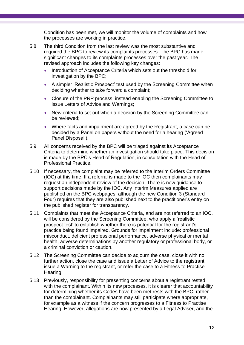Condition has been met, we will monitor the volume of complaints and how the processes are working in practice.

- 5.8 The third Condition from the last review was the most substantive and required the BPC to review its complaints processes. The BPC has made significant changes to its complaints processes over the past year. The revised approach includes the following key changes:
	- Introduction of Acceptance Criteria which sets out the threshold for investigation by the BPC;
	- A simpler 'Realistic Prospect' test used by the Screening Committee when deciding whether to take forward a complaint;
	- Closure of the PRP process, instead enabling the Screening Committee to issue Letters of Advice and Warnings;
	- New criteria to set out when a decision by the Screening Committee can be reviewed;
	- Where facts and impairment are agreed by the Registrant, a case can be decided by a Panel on papers without the need for a hearing ('Agreed Panel Disposal').
- 5.9 All concerns received by the BPC will be triaged against its Acceptance Criteria to determine whether an investigation should take place. This decision is made by the BPC's Head of Regulation, in consultation with the Head of Professional Practice.
- 5.10 If necessary, the complaint may be referred to the Interim Orders Committee (IOC) at this time. If a referral is made to the IOC then complainants may request an independent review of the decision. There is new guidance to support decisions made by the IOC. Any Interim Measures applied are published on the BPC webpages, although the new Condition 3 (Standard Four) requires that they are also published next to the practitioner's entry on the published register for transparency.
- 5.11 Complaints that meet the Acceptance Criteria, and are not referred to an IOC, will be considered by the Screening Committee, who apply a 'realistic prospect test' to establish whether there is potential for the registrant's practice being found impaired. Grounds for impairment include: professional misconduct, deficient professional performance, adverse physical or mental health, adverse determinations by another regulatory or professional body, or a criminal conviction or caution.
- 5.12 The Screening Committee can decide to adjourn the case, close it with no further action, close the case and issue a Letter of Advice to the registrant, issue a Warning to the registrant, or refer the case to a Fitness to Practise Hearing.
- 5.13 Previously, responsibility for presenting concerns about a registrant rested with the complainant. Within its new processes, it is clearer that accountability for determining whether its Codes have been met rests with the BPC, rather than the complainant. Complainants may still participate where appropriate, for example as a witness if the concern progresses to a Fitness to Practise Hearing. However, allegations are now presented by a Legal Adviser, and the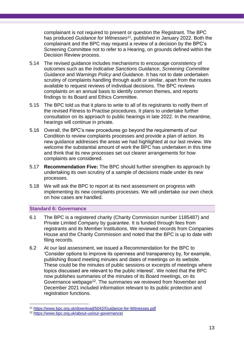complainant is not required to present or question the Registrant. The BPC has produced *Guidance for Witnesses<sup>11</sup>*, published in January 2022. Both the complainant and the BPC may request a review of a decision by the BPC's Screening Committee not to refer to a Hearing, on grounds defined within the Decision Review process.

- 5.14 The revised guidance includes mechanisms to encourage consistency of outcomes such as the *Indicative Sanctions Guidance*, *Screening Committee Guidance* and *Warnings Policy and Guidance*. It has not to date undertaken scrutiny of complaints handling through audit or similar, apart from the routes available to request reviews of individual decisions. The BPC reviews complaints on an annual basis to identify common themes, and reports findings to its Board and Ethics Committee.
- 5.15 The BPC told us that it plans to write to all of its registrants to notify them of the revised Fitness to Practise procedures. It plans to undertake further consultation on its approach to public hearings in late 2022. In the meantime, hearings will continue in private.
- 5.16 Overall, the BPC's new procedures go beyond the requirements of our Condition to review complaints processes and provide a plan of action. Its new guidance addresses the areas we had highlighted at our last review. We welcome the substantial amount of work the BPC has undertaken in this time and think that its new processes set out clearer arrangements for how complaints are considered.
- 5.17 **Recommendation Five:** The BPC should further strengthen its approach by undertaking its own scrutiny of a sample of decisions made under its new processes.
- 5.18 We will ask the BPC to report at its next assessment on progress with implementing its new complaints processes. We will undertake our own check on how cases are handled.

#### **Standard 6: Governance**

- 6.1 The BPC is a registered charity (Charity Commission number 1185487) and Private Limited Company by guarantee. It is funded through fees from registrants and its Member Institutions. We reviewed records from Companies House and the Charity Commission and noted that the BPC is up to date with filing records.
- 6.2 At our last assessment, we issued a Recommendation for the BPC to 'Consider options to improve its openness and transparency by, for example, publishing Board meeting minutes and dates of meetings on its website. These could be the minutes of public sessions or excerpts of meetings where topics discussed are relevant to the public interest'. We noted that the BPC now publishes summaries of the minutes of its Board meetings, on its Governance webpage<sup>12</sup>. The summaries we reviewed from November and December 2021 included information relevant to its public protection and registration functions.

<sup>11</sup> <https://www.bpc.org.uk/download/5042/Guidance-for-Witnesses.pdf>

<sup>12</sup> <https://www.bpc.org.uk/about-us/our-governance/>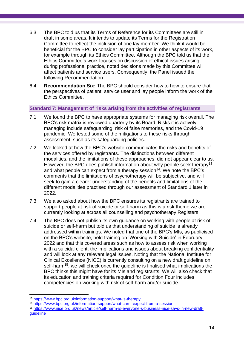- 6.3 The BPC told us that its Terms of Reference for its Committees are still in draft in some areas. It intends to update its Terms for the Registration Committee to reflect the inclusion of one lay member. We think it would be beneficial for the BPC to consider lay participation in other aspects of its work, for example through its Ethics Committee. Although the BPC told us that the Ethics Committee's work focuses on discussion of ethical issues arising during professional practice, noted decisions made by this Committee will affect patients and service users. Consequently, the Panel issued the following Recommendation:
- 6.4 **Recommendation Six:** The BPC should consider how to how to ensure that the perspectives of patient, service user and lay people inform the work of the Ethics Committee.

**Standard 7: Management of risks arising from the activities of registrants**

- 7.1 We found the BPC to have appropriate systems for managing risk overall. The BPC's risk matrix is reviewed quarterly by its Board. Risks it is actively managing include safeguarding, risk of false memories, and the Covid-19 pandemic. We tested some of the mitigations to these risks through assessment, such as its safeguarding policies.
- 7.2 We looked at how the BPC's website communicates the risks and benefits of the services offered by registrants. The distinctions between different modalities, and the limitations of these approaches, did not appear clear to us. However, the BPC does publish information about why people seek therapy<sup>13</sup> and what people can expect from a therapy session<sup>14</sup>. We note the BPC's comments that the limitations of psychotherapy will be subjective, and will seek to gain a clearer understanding of the benefits and limitations of the different modalities practised through our assessment of Standard 1 later in 2022.
- 7.3 We also asked about how the BPC ensures its registrants are trained to support people at risk of suicide or self-harm as this is a risk theme we are currently looking at across all counselling and psychotherapy Registers.
- 7.4 The BPC does not publish its own guidance on working with people at risk of suicide or self-harm but told us that understanding of suicide is already addressed within trainings. We noted that one of the BPC's MIs, as publicised on the BPC's website, held training on 'Working with Suicide' in February 2022 and that this covered areas such as how to assess risk when working with a suicidal client, the implications and issues about breaking confidentiality and will look at any relevant legal issues. Noting that the National Institute for Clinical Excellence (NICE) is currently consulting on a new draft guideline on self-harm<sup>15</sup>, we will check once the guideline is finalised what implications the BPC thinks this might have for its MIs and registrants. We will also check that its education and training criteria required for Condition Four includes competencies on working with risk of self-harm and/or suicide.

<sup>13</sup> <https://www.bpc.org.uk/information-support/what-is-therapy>

<sup>14</sup> <https://www.bpc.org.uk/information-support/what-can-i-expect-from-a-session>

<sup>15</sup> [https://www.nice.org.uk/news/article/self-harm-is-everyone-s-business-nice-says-in-new-draft](https://www.nice.org.uk/news/article/self-harm-is-everyone-s-business-nice-says-in-new-draft-guideline)[guideline](https://www.nice.org.uk/news/article/self-harm-is-everyone-s-business-nice-says-in-new-draft-guideline)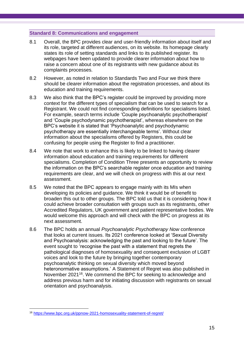#### **Standard 8: Communications and engagement**

- 8.1 Overall, the BPC provides clear and user-friendly information about itself and its role, targeted at different audiences, on its website. Its homepage clearly states its role of setting standards and links to its published register. Its webpages have been updated to provide clearer information about how to raise a concern about one of its registrants with new guidance about its complaints processes.
- 8.2 However, as noted in relation to Standards Two and Four we think there should be clearer information about the registration processes, and about its education and training requirements.
- 8.3 We also think that the BPC's register could be improved by providing more context for the different types of specialism that can be used to search for a Registrant. We could not find corresponding definitions for specialisms listed. For example, search terms include 'Couple psychoanalytic psychotherapist' and 'Couple psychodynamic psychotherapist', whereas elsewhere on the BPC's website it is stated that 'Psychoanalytic and psychodynamic psychotherapy are essentially interchangeable terms'. Without clear information about the specialisms offered by Registers, this could be confusing for people using the Register to find a practitioner.
- 8.4 We note that work to enhance this is likely to be linked to having clearer information about education and training requirements for different specialisms. Completion of Condition Three presents an opportunity to review the information on the BPC's searchable register once education and training requirements are clear, and we will check on progress with this at our next assessment.
- 8.5 We noted that the BPC appears to engage mainly with its MIs when developing its policies and guidance. We think it would be of benefit to broaden this out to other groups. The BPC told us that it is considering how it could achieve broader consultation with groups such as its registrants, other Accredited Regulators, UK government and patient representative bodies. We would welcome this approach and will check with the BPC on progress at its next assessment.
- <span id="page-14-0"></span>8.6 The BPC holds an annual *Psychoanalytic Psychotherapy Now* conference that looks at current issues. Its 2021 conference looked at 'Sexual Diversity and Psychoanalysis: acknowledging the past and looking to the future'. The event sought to 'recognise the past with a statement that regrets the pathological diagnoses of homosexuality and consequent exclusion of LGBT voices and look to the future by bringing together contemporary psychoanalytic thinking on sexual diversity which moved beyond heteronormative assumptions.' A Statement of Regret was also published in November 2021<sup>16</sup>. We commend the BPC for seeking to acknowledge and address previous harm and for initiating discussion with registrants on sexual orientation and psychoanalysis.

<sup>16</sup> <https://www.bpc.org.uk/ppnow-2021-homosexuality-statement-of-regret/>